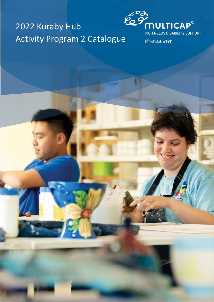## 2022 Kuraby Hub Activity Program 2 Catalogue



all ways.always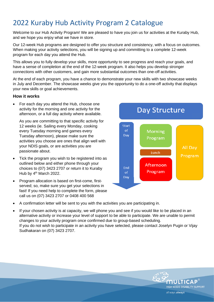## 2022 Kuraby Hub Activity Program 2 Catalogue

Welcome to our Hub Activity Program! We are pleased to have you join us for activities at the Kuraby Hub, and we hope you enjoy what we have in store.

Our 12-week Hub programs are designed to offer you structure and consistency, with a focus on outcomes. When making your activity selections, you will be signing up and committing to a complete 12-week program for each day you attend the Hub.

This allows you to fully develop your skills, more opportunity to see progress and reach your goals, and have a sense of completion at the end of the 12-week program. It also helps you develop stronger connections with other customers, and gain more substantial outcomes than one-off activities.

At the end of each program, you have a chance to demonstrate your new skills with two showcase weeks in July and December. The showcase weeks give you the opportunity to do a one-off activity that displays your new skills or goal achievements.

#### **How it works**

• For each day you attend the Hub, choose one activity for the morning and one activity for the afternoon, or a full day activity where available.

As you are committing to that specific activity for 12 weeks (ie. Sailing every Monday, cooking every Tuesday morning and games every Tuesday afternoon), please make sure the activities you choose are ones that align well with your NDIS goals, or are activities you are passionate about.

- Tick the program you wish to be registered into as outlined below and either phone through your choices to (07) 3423 2707 or return it to Kuraby Hub by 4<sup>th</sup> March 2022.
- Program allocation is based on first-come, firstserved; so, make sure you get your selections in fast! If you need help to complete the form, please call us on (07) 3423 2707 or 0408 400 568
- **Day Structure** Start of **Morning** Day Program **All Dav** Lunch Program Afternoon End Program  $\alpha$ f Day
- A confirmation letter will be sent to you with the activities you are participating in.
- If your chosen activity is at capacity, we will phone you and see if you would like to be placed in an alternative activity or increase your level of support to be able to participate. We are unable to permit changes to your activity program once confirmed due to group-based scheduling. If you do not wish to participate in an activity you have selected, please contact Joselyn Pugin or Vijay Sudhakaran on (07) 3423 2707.

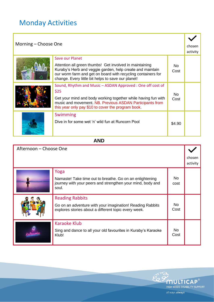## Monday Activities

| Morning – Choose One |                                                                                                                                                                                 |             | chosen<br>activity |
|----------------------|---------------------------------------------------------------------------------------------------------------------------------------------------------------------------------|-------------|--------------------|
|                      | Save our Planet<br>Attention all green thumbs! Get involved in maintaining                                                                                                      | No.         |                    |
|                      | Kuraby's Herb and veggie garden, help create and maintain<br>our worm farm and get on board with recycling containers for<br>change. Every little bit helps to save our planet! | Cost        |                    |
|                      | Sound, Rhythm and Music - ASDAN Approved : One off cost of<br>\$25                                                                                                              |             |                    |
|                      | Get your mind and body working together while having fun with<br>music and movement. NB. Previous ASDAN Participants from<br>this year only pay \$10 to cover the program book. | No.<br>Cost |                    |
|                      | Swimming                                                                                                                                                                        |             |                    |
|                      | Dive in for some wet 'n' wild fun at Runcorn Pool                                                                                                                               | \$4.90      |                    |

#### **AND**

| Afternoon – Choose One |                                                                                                                                             |             |                    |
|------------------------|---------------------------------------------------------------------------------------------------------------------------------------------|-------------|--------------------|
|                        |                                                                                                                                             |             | chosen<br>activity |
|                        | Yoga<br>Namaste! Take time out to breathe. Go on an enlightening<br>journey with your peers and strengthen your mind, body and<br>soul.     | No.<br>cost |                    |
|                        | <b>Reading Rabbits</b><br>Go on an adventure with your imagination! Reading Rabbits<br>explores stories about a different topic every week. | No.<br>Cost |                    |
|                        | <b>Karaoke Klub</b><br>Sing and dance to all your old favourites in Kuraby's Karaoke<br>Klub!                                               | No.<br>Cost |                    |

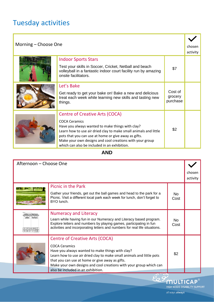## Tuesday activities

| Morning – Choose One |                                                                                                                                                                                                                                                                                                                                                           |                                | chosen<br>activity |
|----------------------|-----------------------------------------------------------------------------------------------------------------------------------------------------------------------------------------------------------------------------------------------------------------------------------------------------------------------------------------------------------|--------------------------------|--------------------|
|                      | <b>Indoor Sports Stars</b><br>Test your skills in Soccer, Cricket, Netball and beach<br>volleyball in a fantastic indoor court facility run by amazing<br>onsite facilitators.                                                                                                                                                                            | \$7                            |                    |
|                      | Let's Bake<br>Get ready to get your bake on! Bake a new and delicious<br>treat each week while learning new skills and tasting new<br>things.                                                                                                                                                                                                             | Cost of<br>grocery<br>purchase |                    |
|                      | <b>Centre of Creative Arts (COCA)</b><br><b>COCA Ceramics</b><br>Have you always wanted to make things with clay?<br>Learn how to use air dried clay to make small animals and little<br>pots that you can use at home or give away as gifts.<br>Make your own designs and cool creations with your group<br>which can also be included in an exhibition. | \$2                            |                    |

**AND**

| Afternoon - Choose One       |                                                                                                                                                                                                                                                                                                                     |             |                    |
|------------------------------|---------------------------------------------------------------------------------------------------------------------------------------------------------------------------------------------------------------------------------------------------------------------------------------------------------------------|-------------|--------------------|
|                              |                                                                                                                                                                                                                                                                                                                     |             | choser<br>activity |
|                              | <b>Picnic in the Park</b><br>Gather your friends, get out the ball games and head to the park for a<br>Picnic. Visit a different local park each week for lunch, don't forget to<br>BYO lunch.                                                                                                                      | No.<br>Cost |                    |
| etters vs Number<br>$ciqiqi$ | <b>Numeracy and Literacy</b><br>Learn while having fun in our Numeracy and Literacy based program.<br>Explore letters and numbers by playing games, participating in fun<br>activities and incorporating letters and numbers for real life situations.                                                              | No.<br>Cost |                    |
|                              | <b>Centre of Creative Arts (COCA)</b><br><b>COCA Ceramics</b><br>Have you always wanted to make things with clay?<br>Learn how to use air dried clay to make small animals and little pots<br>that you can use at home or give away as gifts.<br>Make your own designs and cool creations with your group which can | \$2         |                    |
|                              | also be included in an exhibition.                                                                                                                                                                                                                                                                                  |             |                    |

**EQUEL TICAP** HIGH NEEDS DISABILITY SUPPORT

all ways.always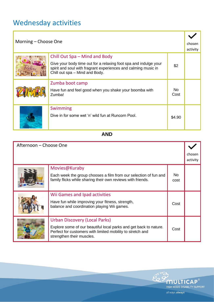## Wednesday activities

| Morning – Choose One |                                                                                                                                                                                                       |             | chosen<br>activity |
|----------------------|-------------------------------------------------------------------------------------------------------------------------------------------------------------------------------------------------------|-------------|--------------------|
|                      | Chill Out Spa – Mind and Body<br>Give your body time out for a relaxing foot spa and indulge your<br>spirit and soul with fragrant experiences and calming music in<br>Chill out spa - Mind and Body. | \$2         |                    |
|                      | Zumba boot camp<br>Have fun and feel good when you shake your boomba with<br>Zumba!                                                                                                                   | No.<br>Cost |                    |
|                      | Swimming<br>Dive in for some wet 'n' wild fun at Runcorn Pool.                                                                                                                                        | \$4.90      |                    |

### **AND**

| Afternoon – Choose One |                                                                                                                                                                                               |             |                    |
|------------------------|-----------------------------------------------------------------------------------------------------------------------------------------------------------------------------------------------|-------------|--------------------|
|                        |                                                                                                                                                                                               |             | chosen<br>activity |
|                        | Movies@Kuraby<br>Each week the group chooses a film from our selection of fun and<br>family flicks while sharing their own reviews with friends.                                              | No.<br>cost |                    |
|                        | Wii Games and Ipad activities<br>Have fun while improving your fitness, strength,<br>balance and coordination playing Wii games.                                                              | Cost        |                    |
|                        | Urban Discovery (Local Parks)<br>Explore some of our beautiful local parks and get back to nature.<br>Perfect for customers with limited mobility to stretch and<br>strengthen their muscles. | Cost        |                    |

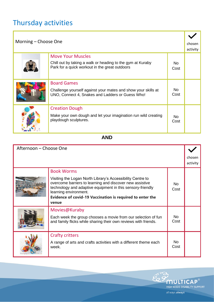## Thursday activities

| Morning - Choose One |                                                                                                                                          |             | chosen<br>activity |
|----------------------|------------------------------------------------------------------------------------------------------------------------------------------|-------------|--------------------|
|                      | <b>Move Your Muscles</b><br>Chill out by taking a walk or heading to the gym at Kuraby<br>Park for a quick workout in the great outdoors | No.<br>Cost |                    |
|                      | <b>Board Games</b><br>Challenge yourself against your mates and show your skills at<br>UNO, Connect 4, Snakes and Ladders or Guess Who!  | No.<br>Cost |                    |
|                      | <b>Creation Dough</b><br>Make your own dough and let your imagination run wild creating<br>playdough sculptures.                         | No.<br>Cost |                    |

**AND**

| Afternoon - Choose One |                                                                                                                                                                                                                                                                                     |             |                    |
|------------------------|-------------------------------------------------------------------------------------------------------------------------------------------------------------------------------------------------------------------------------------------------------------------------------------|-------------|--------------------|
|                        |                                                                                                                                                                                                                                                                                     |             | chosen<br>activity |
|                        | <b>Book Worms</b>                                                                                                                                                                                                                                                                   |             |                    |
|                        | Visiting the Logan North Library's Accessibility Centre to<br>overcome barriers to learning and discover new assistive<br>technology and adaptive equipment in this sensory-friendly<br>learning environment.<br>Evidence of covid-19 Vaccination is required to enter the<br>venue | No.<br>Cost |                    |
|                        | Movies@Kuraby                                                                                                                                                                                                                                                                       |             |                    |
|                        | Each week the group chooses a movie from our selection of fun<br>and family flicks while sharing their own reviews with friends.                                                                                                                                                    | No.<br>Cost |                    |
|                        | <b>Crafty critters</b>                                                                                                                                                                                                                                                              |             |                    |
|                        | A range of arts and crafts activities with a different theme each<br>week.                                                                                                                                                                                                          | No.<br>Cost |                    |

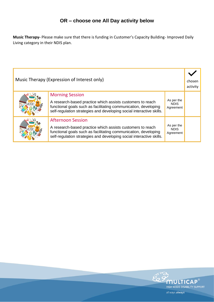### **OR – choose one All Day activity below**

**Music Therapy-** Please make sure that there is funding in Customer's Capacity Building- Improved Daily Living category in their NDIS plan.

| Music Therapy (Expression of Interest only) |                                                                                                                                                                                                                                   |                                        | chosen<br>activity |
|---------------------------------------------|-----------------------------------------------------------------------------------------------------------------------------------------------------------------------------------------------------------------------------------|----------------------------------------|--------------------|
|                                             | <b>Morning Session</b><br>A research-based practice which assists customers to reach<br>functional goals such as facilitating communication, developing<br>self-regulation strategies and developing social interactive skills.   | As per the<br><b>NDIS</b><br>Agreement |                    |
|                                             | <b>Afternoon Session</b><br>A research-based practice which assists customers to reach<br>functional goals such as facilitating communication, developing<br>self-regulation strategies and developing social interactive skills. | As per the<br><b>NDIS</b><br>Agreement |                    |

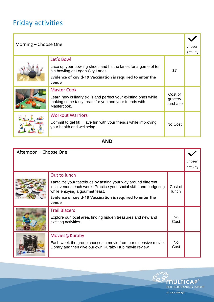## Friday activities

| Morning – Choose One |                                                                                                                                                                                               |                                | chosen<br>activity |
|----------------------|-----------------------------------------------------------------------------------------------------------------------------------------------------------------------------------------------|--------------------------------|--------------------|
|                      | Let's Bowl<br>Lace up your bowling shoes and hit the lanes for a game of ten<br>pin bowling at Logan City Lanes.<br><b>Evidence of covid-19 Vaccination is required to enter the</b><br>venue | \$7                            |                    |
|                      | <b>Master Cook</b><br>Learn new culinary skills and perfect your existing ones while<br>making some tasty treats for you and your friends with<br>Mastercook.                                 | Cost of<br>grocery<br>purchase |                    |
|                      | <b>Workout Warriors</b><br>Commit to get fit! Have fun with your friends while improving<br>your health and wellbeing.                                                                        | No Cost                        |                    |

**AND**

| Afternoon - Choose One |                                                                                                                                                                       |                         |                    |
|------------------------|-----------------------------------------------------------------------------------------------------------------------------------------------------------------------|-------------------------|--------------------|
|                        |                                                                                                                                                                       |                         | chosen<br>activity |
|                        | Out to lunch                                                                                                                                                          |                         |                    |
|                        | Tantalize your tastebuds by tasting your way around different<br>local venues each week. Practice your social skills and budgeting<br>while enjoying a gourmet feast. | Cost of<br><b>lunch</b> |                    |
|                        | <b>Evidence of covid-19 Vaccination is required to enter the</b><br>venue                                                                                             |                         |                    |
|                        | <b>Trail Blazers</b>                                                                                                                                                  |                         |                    |
|                        | Explore our local area, finding hidden treasures and new and<br>exciting activities.                                                                                  | No.<br>Cost             |                    |
|                        | Movies@Kuraby                                                                                                                                                         |                         |                    |
|                        | Each week the group chooses a movie from our extensive movie<br>Library and then give our own Kuraby Hub movie review.                                                | No.<br>Cost             |                    |